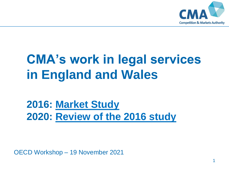

# **CMA's work in legal services in England and Wales**

### **2016: [Market Study](https://www.gov.uk/cma-cases/legal-services-market-study) 2020: [Review of the 2016 study](https://www.gov.uk/cma-cases/review-of-the-legal-services-market-study-in-england-and-wales)**

OECD Workshop – 19 November 2021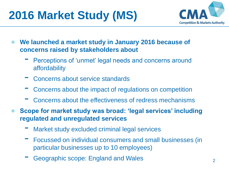## **2016 Market Study (MS)**



- **We launched a market study in January 2016 because of concerns raised by stakeholders about**
	- Perceptions of 'unmet' legal needs and concerns around affordability
	- Concerns about service standards
	- Concerns about the impact of regulations on competition
	- Concerns about the effectiveness of redress mechanisms
- **Scope for market study was broad: 'legal services' including regulated and unregulated services**
	- Market study excluded criminal legal services
	- Focussed on individual consumers and small businesses (in particular businesses up to 10 employees)
	- Geographic scope: England and Wales 2014 2015 2016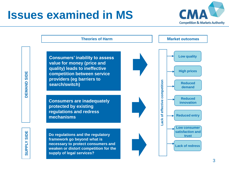### **Issues examined in MS**



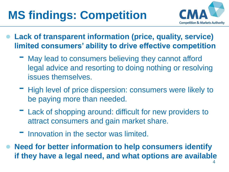# **MS findings: Competition**



- **Lack of transparent information (price, quality, service) limited consumers' ability to drive effective competition**
	- May lead to consumers believing they cannot afford legal advice and resorting to doing nothing or resolving issues themselves.
	- High level of price dispersion: consumers were likely to be paying more than needed.
	- Lack of shopping around: difficult for new providers to attract consumers and gain market share.
	- Innovation in the sector was limited.
- **Need for better information to help consumers identify if they have a legal need, and what options are available**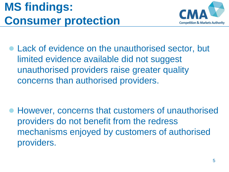### **MS findings: Consumer protection**



● Lack of evidence on the unauthorised sector, but limited evidence available did not suggest unauthorised providers raise greater quality concerns than authorised providers.

● However, concerns that customers of unauthorised providers do not benefit from the redress mechanisms enjoyed by customers of authorised providers.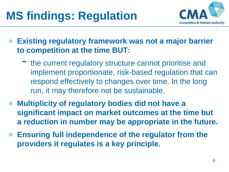## **MS findings: Regulation**



**Existing regulatory framework was not a major barrier to competition at the time BUT:** 

- the current regulatory structure cannot prioritise and implement proportionate, risk-based regulation that can respond effectively to changes over time. In the long run, it may therefore not be sustainable.
- **Multiplicity of regulatory bodies did not have a significant impact on market outcomes at the time but a reduction in number may be appropriate in the future.**
- **Ensuring full independence of the regulator from the providers it regulates is a key principle.**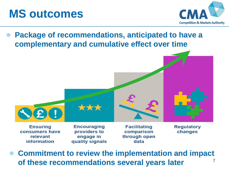

**information** 



**Package of recommendations, anticipated to have a complementary and cumulative effect over time**



7 ● **Commitment to review the implementation and impact of these recommendations several years later**

data

quality signals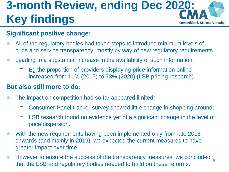### **3-month Review, ending Dec 2020: Key findings Competition & Markets Authority**

#### **Significant positive change:**

- All of the regulatory bodies had taken steps to introduce minimum levels of price and service transparency, mostly by way of new regulatory requirements.
- Leading to a substantial increase in the availability of such information.
	- Eg the proportion of providers displaying price information online increased from 11% (2017) to 73% (2020) (LSB pricing research).

#### **But also still more to do:**

- The impact on competition had so far appeared limited:
	- Consumer Panel tracker survey showed little change in shopping around;
	- LSB research found no evidence yet of a significant change in the level of price dispersion.
- With the new requirements having been implemented only from late 2018 onwards (and mainly in 2019), we expected the current measures to have greater impact over time.
- However to ensure the success of the transparency measures, we concluded <sub>8</sub> that the LSB and regulatory bodies needed to build on these reforms.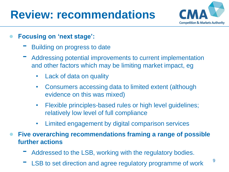### **Review: recommendations**



- **Focusing on 'next stage':**
	- Building on progress to date
	- Addressing potential improvements to current implementation and other factors which may be limiting market impact, eg
		- Lack of data on quality
		- Consumers accessing data to limited extent (although evidence on this was mixed)
		- Flexible principles-based rules or high level guidelines; relatively low level of full compliance
		- Limited engagement by digital comparison services
- **Five overarching recommendations framing a range of possible further actions**
	- Addressed to the LSB, working with the regulatory bodies.
	- LSB to set direction and agree regulatory programme of work <sup>9</sup>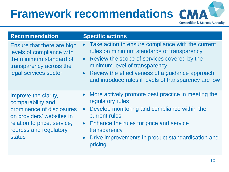### **Framework recommendations Competition & Markets Authority**

| <b>Recommendation</b>                                                                                                                                                         | <b>Specific actions</b>                                                                                                                                                                                                                                                                           |
|-------------------------------------------------------------------------------------------------------------------------------------------------------------------------------|---------------------------------------------------------------------------------------------------------------------------------------------------------------------------------------------------------------------------------------------------------------------------------------------------|
| Ensure that there are high<br>levels of compliance with<br>the minimum standard of<br>transparency across the<br>legal services sector                                        | • Take action to ensure compliance with the current<br>rules on minimum standards of transparency<br>• Review the scope of services covered by the<br>minimum level of transparency<br>• Review the effectiveness of a guidance approach<br>and introduce rules if levels of transparency are low |
| Improve the clarity,<br>comparability and<br>prominence of disclosures<br>on providers' websites in<br>relation to price, service,<br>redress and regulatory<br><b>status</b> | More actively promote best practice in meeting the<br>regulatory rules<br>Develop monitoring and compliance within the<br>$\bullet$<br>current rules<br>• Enhance the rules for price and service<br>transparency<br>Drive improvements in product standardisation and<br>$\bullet$<br>pricing    |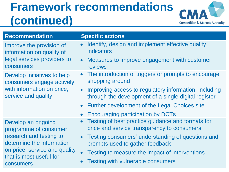### **Framework recommendations (continued)**



| <b>Recommendation</b>                                                                                                                                                        | <b>Specific actions</b>                                                                                                                                                                                                                                                                                    |
|------------------------------------------------------------------------------------------------------------------------------------------------------------------------------|------------------------------------------------------------------------------------------------------------------------------------------------------------------------------------------------------------------------------------------------------------------------------------------------------------|
| Improve the provision of<br>information on quality of<br>legal services providers to<br>consumers                                                                            | Identify, design and implement effective quality<br>indicators<br>Measures to improve engagement with customer<br>$\bullet$<br>reviews                                                                                                                                                                     |
| Develop initiatives to help<br>consumers engage actively<br>with information on price,<br>service and quality                                                                | • The introduction of triggers or prompts to encourage<br>shopping around<br>Improving access to regulatory information, including<br>$\bullet$<br>through the development of a single digital register<br>Further development of the Legal Choices site<br>$\bullet$<br>Encouraging participation by DCTs |
| Develop an ongoing<br>programme of consumer<br>research and testing to<br>determine the information<br>on price, service and quality<br>that is most useful for<br>consumers | Testing of best practice guidance and formats for<br>price and service transparency to consumers<br>Testing consumers' understanding of questions and<br>$\bullet$<br>prompts used to gather feedback<br>Testing to measure the impact of interventions<br><b>Testing with vulnerable consumers</b>        |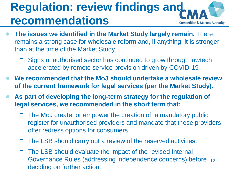#### **Regulation: review findings and recommendations Competition & Markets Authority**

- **The issues we identified in the Market Study largely remain.** There remains a strong case for wholesale reform and, if anything, it is stronger than at the time of the Market Study
	- Signs unauthorised sector has continued to grow through lawtech, accelerated by remote service provision driven by COVID-19
- **We recommended that the MoJ should undertake a wholesale review of the current framework for legal services (per the Market Study).**
- As part of developing the long-term strategy for the regulation of **legal services, we recommended in the short term that:**
	- The MoJ create, or empower the creation of, a mandatory public register for unauthorised providers and mandate that these providers offer redress options for consumers.
	- The LSB should carry out a review of the reserved activities.
	- Governance Rules (addressing independence concerns) before 12 The LSB should evaluate the impact of the revised Internal deciding on further action.